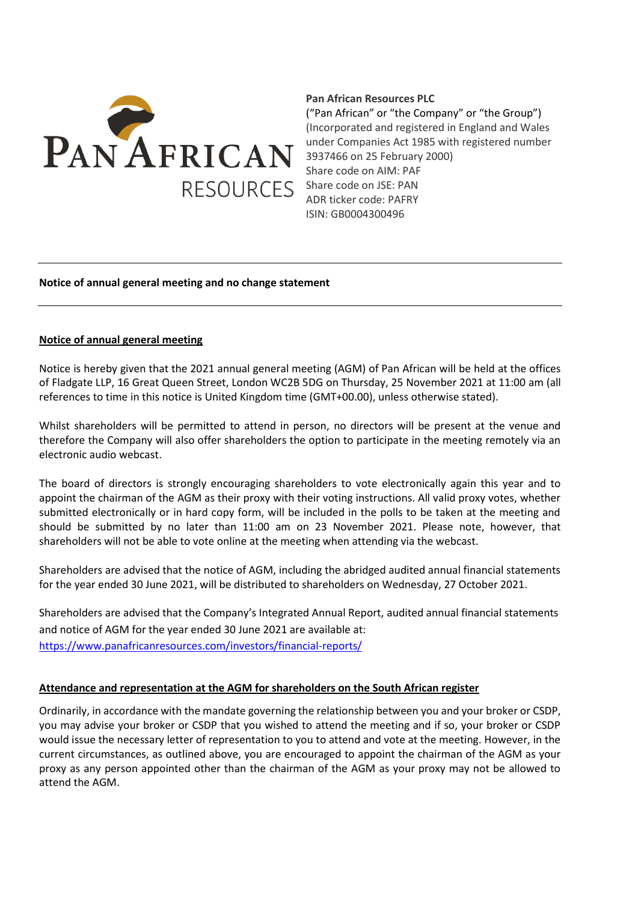

# **Pan African Resources PLC**

("Pan African" or "the Company" or "the Group") (Incorporated and registered in England and Wales under Companies Act 1985 with registered number 3937466 on 25 February 2000) Share code on AIM: PAF Share code on JSE: PAN ADR ticker code: PAFRY ISIN: GB0004300496

### **Notice of annual general meeting and no change statement**

#### **Notice of annual general meeting**

Notice is hereby given that the 2021 annual general meeting (AGM) of Pan African will be held at the offices of Fladgate LLP, 16 Great Queen Street, London WC2B 5DG on Thursday, 25 November 2021 at 11:00 am (all references to time in this notice is United Kingdom time (GMT+00.00), unless otherwise stated).

Whilst shareholders will be permitted to attend in person, no directors will be present at the venue and therefore the Company will also offer shareholders the option to participate in the meeting remotely via an electronic audio webcast.

The board of directors is strongly encouraging shareholders to vote electronically again this year and to appoint the chairman of the AGM as their proxy with their voting instructions. All valid proxy votes, whether submitted electronically or in hard copy form, will be included in the polls to be taken at the meeting and should be submitted by no later than 11:00 am on 23 November 2021. Please note, however, that shareholders will not be able to vote online at the meeting when attending via the webcast.

Shareholders are advised that the notice of AGM, including the abridged audited annual financial statements for the year ended 30 June 2021, will be distributed to shareholders on Wednesday, 27 October 2021.

Shareholders are advised that the Company's Integrated Annual Report, audited annual financial statements and notice of AGM for the year ended 30 June 2021 are available at: <https://www.panafricanresources.com/investors/financial-reports/>

### **Attendance and representation at the AGM for shareholders on the South African register**

Ordinarily, in accordance with the mandate governing the relationship between you and your broker or CSDP, you may advise your broker or CSDP that you wished to attend the meeting and if so, your broker or CSDP would issue the necessary letter of representation to you to attend and vote at the meeting. However, in the current circumstances, as outlined above, you are encouraged to appoint the chairman of the AGM as your proxy as any person appointed other than the chairman of the AGM as your proxy may not be allowed to attend the AGM.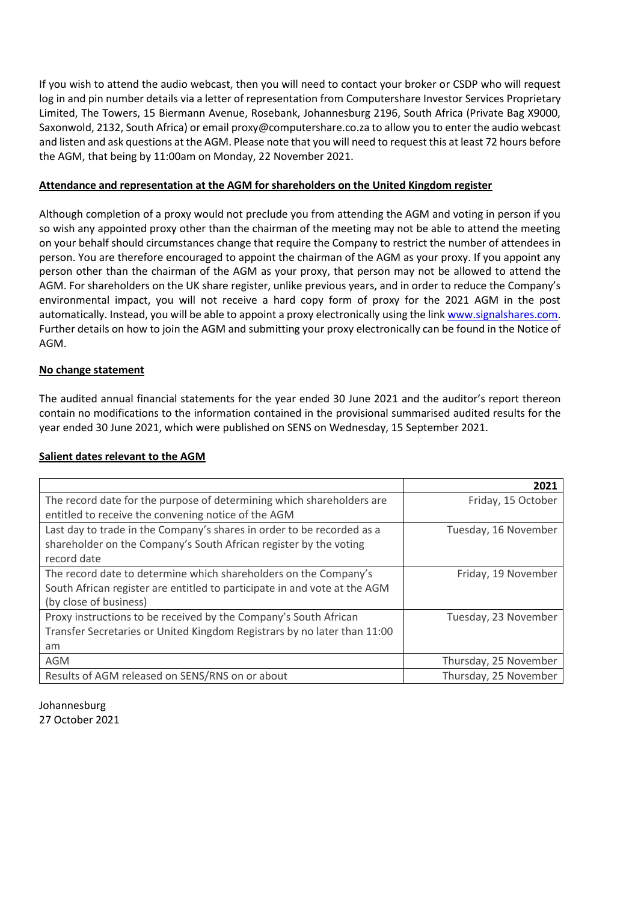If you wish to attend the audio webcast, then you will need to contact your broker or CSDP who will request log in and pin number details via a letter of representation from Computershare Investor Services Proprietary Limited, The Towers, 15 Biermann Avenue, Rosebank, Johannesburg 2196, South Africa (Private Bag X9000, Saxonwold, 2132, South Africa) or email [proxy@computershare.co.za](mailto:proxy@computershare.co.za) to allow you to enter the audio webcast and listen and ask questions at the AGM. Please note that you will need to request this at least 72 hours before the AGM, that being by 11:00am on Monday, 22 November 2021.

# **Attendance and representation at the AGM for shareholders on the United Kingdom register**

Although completion of a proxy would not preclude you from attending the AGM and voting in person if you so wish any appointed proxy other than the chairman of the meeting may not be able to attend the meeting on your behalf should circumstances change that require the Company to restrict the number of attendees in person. You are therefore encouraged to appoint the chairman of the AGM as your proxy. If you appoint any person other than the chairman of the AGM as your proxy, that person may not be allowed to attend the AGM. For shareholders on the UK share register, unlike previous years, and in order to reduce the Company's environmental impact, you will not receive a hard copy form of proxy for the 2021 AGM in the post automatically. Instead, you will be able to appoint a proxy electronically using the lin[k www.signalshares.com.](http://www.signalshares.com/) Further details on how to join the AGM and submitting your proxy electronically can be found in the Notice of AGM.

## **No change statement**

The audited annual financial statements for the year ended 30 June 2021 and the auditor's report thereon contain no modifications to the information contained in the provisional summarised audited results for the year ended 30 June 2021, which were published on SENS on Wednesday, 15 September 2021.

### **Salient dates relevant to the AGM**

|                                                                           | 2021                  |
|---------------------------------------------------------------------------|-----------------------|
| The record date for the purpose of determining which shareholders are     | Friday, 15 October    |
| entitled to receive the convening notice of the AGM                       |                       |
| Last day to trade in the Company's shares in order to be recorded as a    | Tuesday, 16 November  |
| shareholder on the Company's South African register by the voting         |                       |
| record date                                                               |                       |
| The record date to determine which shareholders on the Company's          | Friday, 19 November   |
| South African register are entitled to participate in and vote at the AGM |                       |
| (by close of business)                                                    |                       |
| Proxy instructions to be received by the Company's South African          | Tuesday, 23 November  |
| Transfer Secretaries or United Kingdom Registrars by no later than 11:00  |                       |
| am                                                                        |                       |
| <b>AGM</b>                                                                | Thursday, 25 November |
| Results of AGM released on SENS/RNS on or about                           | Thursday, 25 November |

Johannesburg 27 October 2021